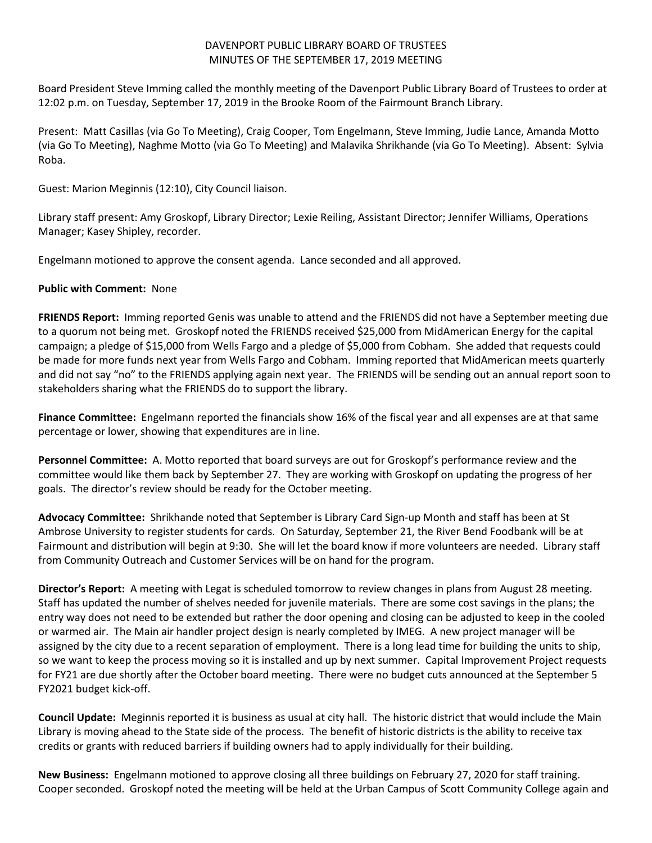## DAVENPORT PUBLIC LIBRARY BOARD OF TRUSTEES MINUTES OF THE SEPTEMBER 17, 2019 MEETING

Board President Steve Imming called the monthly meeting of the Davenport Public Library Board of Trustees to order at 12:02 p.m. on Tuesday, September 17, 2019 in the Brooke Room of the Fairmount Branch Library.

Present: Matt Casillas (via Go To Meeting), Craig Cooper, Tom Engelmann, Steve Imming, Judie Lance, Amanda Motto (via Go To Meeting), Naghme Motto (via Go To Meeting) and Malavika Shrikhande (via Go To Meeting). Absent: Sylvia Roba.

Guest: Marion Meginnis (12:10), City Council liaison.

Library staff present: Amy Groskopf, Library Director; Lexie Reiling, Assistant Director; Jennifer Williams, Operations Manager; Kasey Shipley, recorder.

Engelmann motioned to approve the consent agenda. Lance seconded and all approved.

## **Public with Comment:** None

**FRIENDS Report:** Imming reported Genis was unable to attend and the FRIENDS did not have a September meeting due to a quorum not being met. Groskopf noted the FRIENDS received \$25,000 from MidAmerican Energy for the capital campaign; a pledge of \$15,000 from Wells Fargo and a pledge of \$5,000 from Cobham. She added that requests could be made for more funds next year from Wells Fargo and Cobham. Imming reported that MidAmerican meets quarterly and did not say "no" to the FRIENDS applying again next year. The FRIENDS will be sending out an annual report soon to stakeholders sharing what the FRIENDS do to support the library.

**Finance Committee:** Engelmann reported the financials show 16% of the fiscal year and all expenses are at that same percentage or lower, showing that expenditures are in line.

**Personnel Committee:** A. Motto reported that board surveys are out for Groskopf's performance review and the committee would like them back by September 27. They are working with Groskopf on updating the progress of her goals. The director's review should be ready for the October meeting.

**Advocacy Committee:** Shrikhande noted that September is Library Card Sign-up Month and staff has been at St Ambrose University to register students for cards. On Saturday, September 21, the River Bend Foodbank will be at Fairmount and distribution will begin at 9:30. She will let the board know if more volunteers are needed. Library staff from Community Outreach and Customer Services will be on hand for the program.

**Director's Report:** A meeting with Legat is scheduled tomorrow to review changes in plans from August 28 meeting. Staff has updated the number of shelves needed for juvenile materials. There are some cost savings in the plans; the entry way does not need to be extended but rather the door opening and closing can be adjusted to keep in the cooled or warmed air. The Main air handler project design is nearly completed by IMEG. A new project manager will be assigned by the city due to a recent separation of employment. There is a long lead time for building the units to ship, so we want to keep the process moving so it is installed and up by next summer. Capital Improvement Project requests for FY21 are due shortly after the October board meeting. There were no budget cuts announced at the September 5 FY2021 budget kick-off.

**Council Update:** Meginnis reported it is business as usual at city hall. The historic district that would include the Main Library is moving ahead to the State side of the process. The benefit of historic districts is the ability to receive tax credits or grants with reduced barriers if building owners had to apply individually for their building.

**New Business:** Engelmann motioned to approve closing all three buildings on February 27, 2020 for staff training. Cooper seconded. Groskopf noted the meeting will be held at the Urban Campus of Scott Community College again and